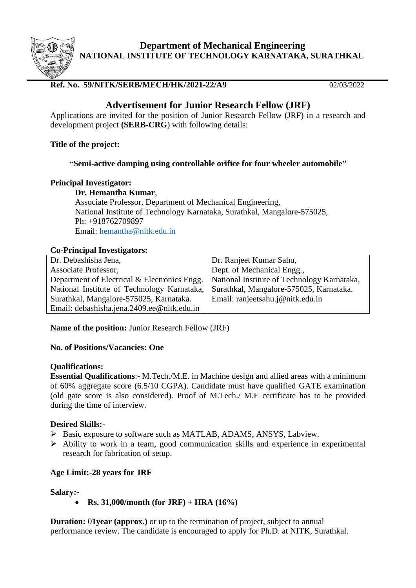

**Department of Mechanical Engineering NATIONAL INSTITUTE OF TECHNOLOGY KARNATAKA, SURATHKAL**

# **Ref. No. 59/NITK/SERB/MECH/HK/2021-22/A9** 02/03/2022

# **Advertisement for Junior Research Fellow (JRF)**

Applications are invited for the position of Junior Research Fellow (JRF) in a research and development project **(SERB-CRG**) with following details:

## **Title of the project:**

# **"Semi-active damping using controllable orifice for four wheeler automobile"**

## **Principal Investigator:**

**Dr. Hemantha Kumar**, Associate Professor, Department of Mechanical Engineering, National Institute of Technology Karnataka, Surathkal, Mangalore-575025, Ph: +918762709897 Email: [hemantha@nitk.edu.in](mailto:hemantha@nitk.edu.in)

# **Co-Principal Investigators:**

| Dr. Debashisha Jena,                         | Dr. Ranjeet Kumar Sahu,                     |
|----------------------------------------------|---------------------------------------------|
| Associate Professor,                         | Dept. of Mechanical Engg.,                  |
| Department of Electrical & Electronics Engg. | National Institute of Technology Karnataka, |
| National Institute of Technology Karnataka,  | Surathkal, Mangalore-575025, Karnataka.     |
| Surathkal, Mangalore-575025, Karnataka.      | Email: ranjeetsahu.j@nitk.edu.in            |
| Email: debashisha.jena.2409.ee@nitk.edu.in   |                                             |
|                                              |                                             |

**Name of the position:** Junior Research Fellow (JRF)

## **No. of Positions/Vacancies: One**

## **Qualifications:**

**Essential Qualifications**:- M.Tech./M.E. in Machine design and allied areas with a minimum of 60% aggregate score (6.5/10 CGPA). Candidate must have qualified GATE examination (old gate score is also considered). Proof of M.Tech./ M.E certificate has to be provided during the time of interview.

## **Desired Skills:-**

- ➢ Basic exposure to software such as MATLAB, ADAMS, ANSYS, Labview.
- ➢ Ability to work in a team, good communication skills and experience in experimental research for fabrication of setup.

# **Age Limit:-28 years for JRF**

## **Salary:-**

• **Rs. 31,000/month (for JRF) + HRA (16%)**

**Duration:** 01year (approx.) or up to the termination of project, subject to annual performance review. The candidate is encouraged to apply for Ph.D. at NITK, Surathkal.